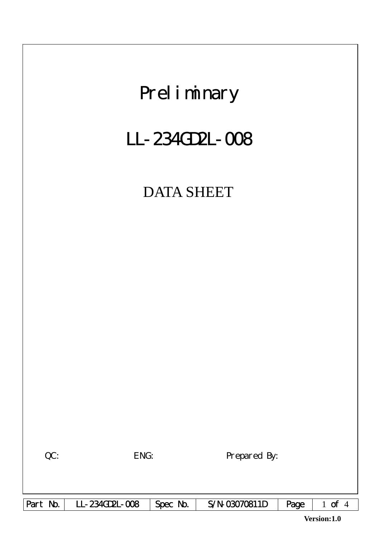

**Version:1.0**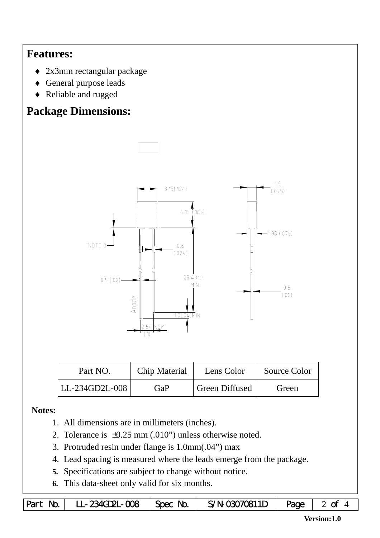## **Features:**

- ♦ 2x3mm rectangular package
- ♦ General purpose leads
- ♦ Reliable and rugged

# **Package Dimensions:**



| Part NO.       | Chip Material | Lens Color            | Source Color |  |
|----------------|---------------|-----------------------|--------------|--|
| LL-234GD2L-008 | GaP           | <b>Green Diffused</b> | Green        |  |

#### **Notes:**

- 1. All dimensions are in millimeters (inches).
- 2. Tolerance is ±0.25 mm (.010") unless otherwise noted.
- 3. Protruded resin under flange is 1.0mm(.04") max
- 4. Lead spacing is measured where the leads emerge from the package.
- **5.** Specifications are subject to change without notice.
- **6.** This data-sheet only valid for six months.

|  | Part No.   LL-234GD2L-008   Spec No.   S/N-03070811D   Page   2 of |  |  |  |  |
|--|--------------------------------------------------------------------|--|--|--|--|
|--|--------------------------------------------------------------------|--|--|--|--|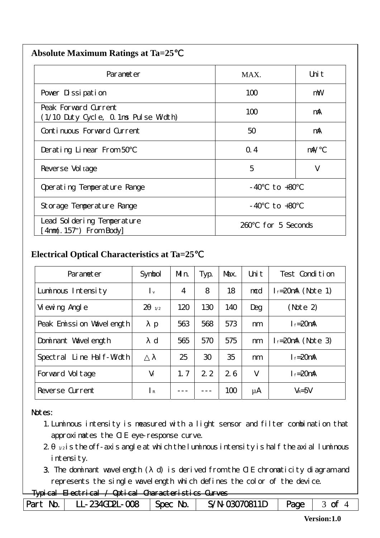| <b>Absolute Maximum Ratings at Ta=25</b> |  |
|------------------------------------------|--|
|                                          |  |

| Parameter                                                    | MAX.                  | Uni t      |  |
|--------------------------------------------------------------|-----------------------|------------|--|
| Pover Dissipation                                            | 100                   | mW         |  |
| Peak Forward Current<br>(1/10 Duty Cycle, 0.1ms Pulse Width) | 100                   | mA         |  |
| Continuous Forward Current                                   | 50                    | mA         |  |
| Derating Linear From 50                                      | Q.4                   | $m\lambda$ |  |
| Reverse Vol tage                                             | 5<br>V                |            |  |
| Operating Temperature Range                                  | to $+80$<br>- 40      |            |  |
| Storage Temperature Range                                    | $-40$ to $+80$        |            |  |
| Lead Sol dering Temperature<br>4nm(. 157") From Body         | for 5 Seconds<br>260. |            |  |

#### **Electrical Optical Characteristics at Ta=25**℃

| Parameter                | Symbol               | Mn.            | Typ.            | Max. | Uni t | Test Condition         |
|--------------------------|----------------------|----------------|-----------------|------|-------|------------------------|
| Luminous Intensity       | $\mathsf{I}$ v       | $\overline{4}$ | 8               | 18   | mcd   | $l_f = 20$ mA (Note 1) |
| Vi ewing Angl e          | $\mathcal{P}$<br>1/2 | 120            | 130             | 140  | Deg   | (Note 2)               |
| Peak Emission Wavelength | p                    | 563            | 568             | 573  | nm    | $I_f = 20$ mA          |
| Dominant Wavelength      | $\mathbf d$          | 565            | 570             | 575  | nm    | $l_f = 20$ mA (Note 3) |
| Spectral Line Half-Width |                      | 25             | 30 <sup>°</sup> | 35   | nm    | $I_f = 20$ mA          |
| Forward Voltage          | $V_f$                | 1.7            | 2.2             | 26   | V     | $I_f = 20$ mA          |
| Reverse Current          | $\mathsf{R}$         |                |                 | 100  | μA    | $V_R = 5V$             |

#### Notes:

- 1.Luminous intensity is measured with a light sensor and filter combination that approximates the CIE eye-response curve.
- $2 1/2$  is the off-axis angle at which the luminous intensity is half the axial luminous i ntensity.
- 3. The dominant wavelength ( d) is derived from the CIE chromaticity diagram and represents the single wavelength which defines the color of the device.

### Typical Electrical / Optical Characteristics Curves

| Part No.   LL-234GD2L-008   Spec No. | $S/N-$ 03070811D   Page   3 of |  |
|--------------------------------------|--------------------------------|--|